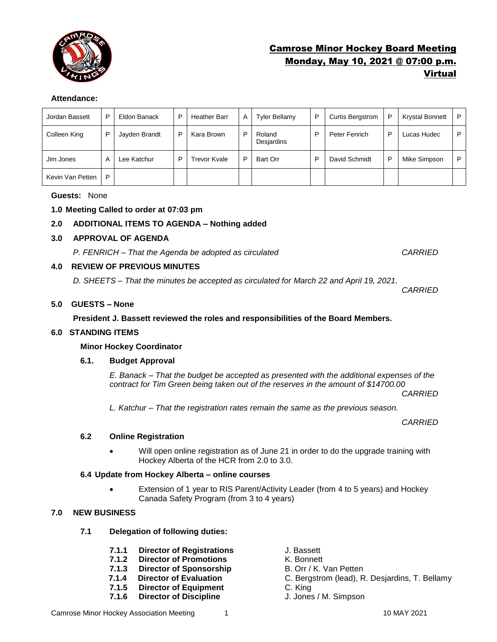

# Camrose Minor Hockey Board Meeting Monday, May 10, 2021 @ 07:00 p.m. Virtual

## **Attendance:**

| Jordan Bassett   | P | Eldon Banack  | P | <b>Heather Barr</b>     | A | <b>Tyler Bellamy</b> | P | <b>Curtis Bergstrom</b> | P | <b>Krystal Bonnett</b> | P |
|------------------|---|---------------|---|-------------------------|---|----------------------|---|-------------------------|---|------------------------|---|
| Colleen King     | P | Jayden Brandt | P | Kara Brown              | P | Roland<br>Desjardins | P | Peter Fenrich           | P | Lucas Hudec            | P |
| Jim Jones        | A | Lee Katchur   | P | <sup>r</sup> evor Kvale | D | Bart Orr             | P | David Schmidt           | P | Mike Simpson           | P |
| Kevin Van Petten | P |               |   |                         |   |                      |   |                         |   |                        |   |

#### **Guests:** None

## **1.0 Meeting Called to order at 07:03 pm**

## **2.0 ADDITIONAL ITEMS TO AGENDA – Nothing added**

## **3.0 APPROVAL OF AGENDA**

*P. FENRICH – That the Agenda be adopted as circulated CARRIED*

## **4.0 REVIEW OF PREVIOUS MINUTES**

*D. SHEETS – That the minutes be accepted as circulated for March 22 and April 19, 2021.* 

## **5.0 GUESTS – None**

## **President J. Bassett reviewed the roles and responsibilities of the Board Members.**

#### **6.0 STANDING ITEMS**

#### **Minor Hockey Coordinator**

#### **6.1. Budget Approval**

*E. Banack – That the budget be accepted as presented with the additional expenses of the contract for Tim Green being taken out of the reserves in the amount of \$14700.00*

*CARRIED* 

*CARRIED*

*L. Katchur – That the registration rates remain the same as the previous season.* 

#### *CARRIED*

#### **6.2 Online Registration**

• Will open online registration as of June 21 in order to do the upgrade training with Hockey Alberta of the HCR from 2.0 to 3.0.

#### **6.4 Update from Hockey Alberta – online courses**

• Extension of 1 year to RIS Parent/Activity Leader (from 4 to 5 years) and Hockey Canada Safety Program (from 3 to 4 years)

## **7.0 NEW BUSINESS**

- **7.1 Delegation of following duties:**
	- **7.1.1 Director of Registrations** J. Bassett
	- **7.1.2 Director of Promotions** K. Bonnett
	- **7.1.3 Director of Sponsorship** B. Orr / K. Van Petten
	- **7.1.4 Director of Evaluation** C. Bergstrom (lead), R. Desjardins, T. Bellamy
	- **7.1.5 Director of Equipment** C. King
	- **7.1.6 Director of Discipline** J. Jones / M. Simpson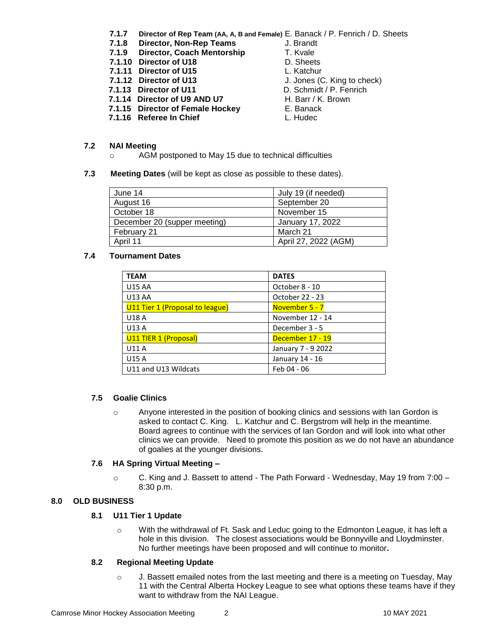- **7.1.7 Director of Rep Team (AA, A, B and Female)** E. Banack / P. Fenrich / D. Sheets
- **7.1.8 Director, Non-Rep Teams** J. Brandt
- **7.1.9 Director, Coach Mentorship T. Kvale**
- **7.1.10 Director of U18** D. Sheets
- 
- **7.1.11 Director of U15** L. Katchur<br> **7.1.12 Director of U13** J. Jones (C
- 
- **7.1.13 Director of U11** D. Schmidt / P. Fenrich<br> **7.1.14 Director of U9 AND U7** H. Barr / K. Brown **7.1.14 Director of U9 AND U7**
- **7.1.15 Director of Female Hockey E. Banack**
- **7.1.16 Referee In Chief L. Hudec**
- 
- 
- 
- 
- **J.** Jones (C. King to check)
- 
- 
- 
- 

#### **7.2 NAI Meeting**

- o AGM postponed to May 15 due to technical difficulties
- **7.3 Meeting Dates** (will be kept as close as possible to these dates).

| June 14                      | July 19 (if needed)  |
|------------------------------|----------------------|
| August 16                    | September 20         |
| October 18                   | November 15          |
| December 20 (supper meeting) | January 17, 2022     |
| February 21                  | March 21             |
| April 11                     | April 27, 2022 (AGM) |

## **7.4 Tournament Dates**

| <b>TEAM</b>                     | <b>DATES</b>       |
|---------------------------------|--------------------|
| <b>U15 AA</b>                   | October 8 - 10     |
| <b>U13 AA</b>                   | October 22 - 23    |
| U11 Tier 1 (Proposal to league) | November 5 - 7     |
| U18 A                           | November 12 - 14   |
| U13 A                           | December 3 - 5     |
| U11 TIER 1 (Proposal)           | December 17 - 19   |
| U11 A                           | January 7 - 9 2022 |
| <b>U15 A</b>                    | January 14 - 16    |
| U11 and U13 Wildcats            | Feb 04 - 06        |

#### **7.5 Goalie Clinics**

o Anyone interested in the position of booking clinics and sessions with Ian Gordon is asked to contact C. King. L. Katchur and C. Bergstrom will help in the meantime. Board agrees to continue with the services of Ian Gordon and will look into what other clinics we can provide. Need to promote this position as we do not have an abundance of goalies at the younger divisions.

#### **7.6 HA Spring Virtual Meeting –**

 $\circ$  C. King and J. Bassett to attend - The Path Forward - Wednesday, May 19 from 7:00 – 8:30 p.m.

## **8.0 OLD BUSINESS**

## **8.1 U11 Tier 1 Update**

o With the withdrawal of Ft. Sask and Leduc going to the Edmonton League, it has left a hole in this division. The closest associations would be Bonnyville and Lloydminster. No further meetings have been proposed and will continue to monitor**.**

#### **8.2 Regional Meeting Update**

 $\circ$  J. Bassett emailed notes from the last meeting and there is a meeting on Tuesday, May 11 with the Central Alberta Hockey League to see what options these teams have if they want to withdraw from the NAI League.